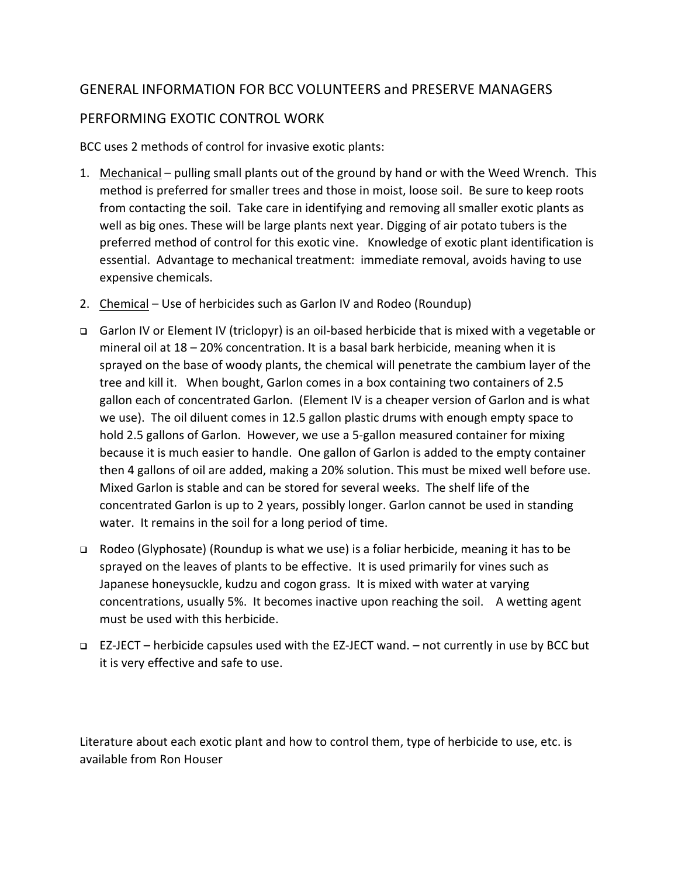# GENERAL INFORMATION FOR BCC VOLUNTEERS and PRESERVE MANAGERS PERFORMING EXOTIC CONTROL WORK

BCC uses 2 methods of control for invasive exotic plants:

- 1. Mechanical pulling small plants out of the ground by hand or with the Weed Wrench. This method is preferred for smaller trees and those in moist, loose soil. Be sure to keep roots from contacting the soil. Take care in identifying and removing all smaller exotic plants as well as big ones. These will be large plants next year. Digging of air potato tubers is the preferred method of control for this exotic vine. Knowledge of exotic plant identification is essential. Advantage to mechanical treatment: immediate removal, avoids having to use expensive chemicals.
- 2. Chemical Use of herbicides such as Garlon IV and Rodeo (Roundup)
- Garlon IV or Element IV (triclopyr) is an oil‐based herbicide that is mixed with a vegetable or mineral oil at 18 – 20% concentration. It is a basal bark herbicide, meaning when it is sprayed on the base of woody plants, the chemical will penetrate the cambium layer of the tree and kill it. When bought, Garlon comes in a box containing two containers of 2.5 gallon each of concentrated Garlon. (Element IV is a cheaper version of Garlon and is what we use). The oil diluent comes in 12.5 gallon plastic drums with enough empty space to hold 2.5 gallons of Garlon. However, we use a 5‐gallon measured container for mixing because it is much easier to handle. One gallon of Garlon is added to the empty container then 4 gallons of oil are added, making a 20% solution. This must be mixed well before use. Mixed Garlon is stable and can be stored for several weeks. The shelf life of the concentrated Garlon is up to 2 years, possibly longer. Garlon cannot be used in standing water. It remains in the soil for a long period of time.
- Rodeo (Glyphosate) (Roundup is what we use) is a foliar herbicide, meaning it has to be sprayed on the leaves of plants to be effective. It is used primarily for vines such as Japanese honeysuckle, kudzu and cogon grass. It is mixed with water at varying concentrations, usually 5%. It becomes inactive upon reaching the soil. A wetting agent must be used with this herbicide.
- EZ‐JECT herbicide capsules used with the EZ‐JECT wand. not currently in use by BCC but it is very effective and safe to use.

Literature about each exotic plant and how to control them, type of herbicide to use, etc. is available from Ron Houser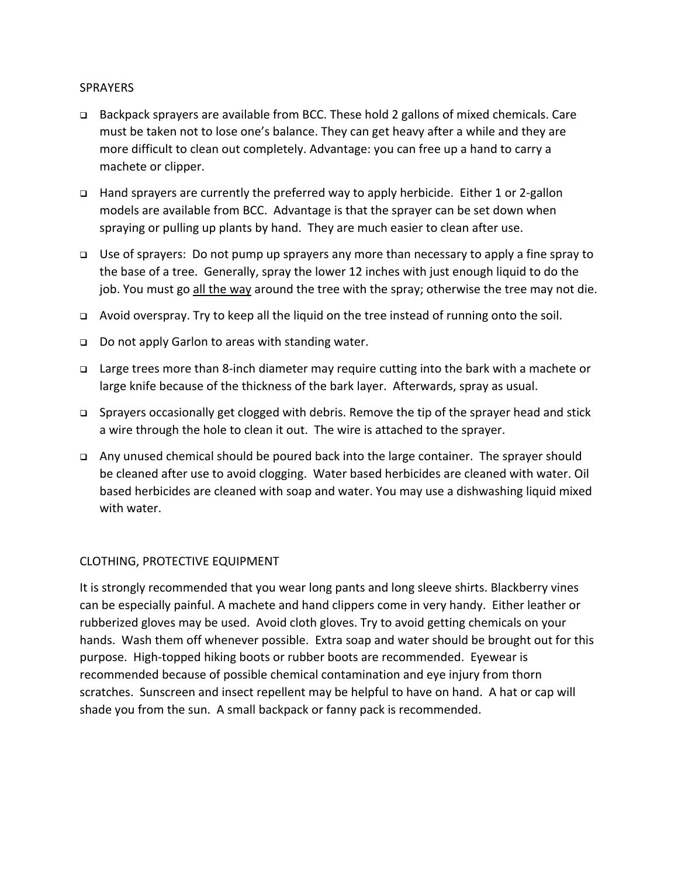## **SPRAYERS**

- Backpack sprayers are available from BCC. These hold 2 gallons of mixed chemicals. Care must be taken not to lose one's balance. They can get heavy after a while and they are more difficult to clean out completely. Advantage: you can free up a hand to carry a machete or clipper.
- Hand sprayers are currently the preferred way to apply herbicide. Either 1 or 2‐gallon models are available from BCC. Advantage is that the sprayer can be set down when spraying or pulling up plants by hand. They are much easier to clean after use.
- □ Use of sprayers: Do not pump up sprayers any more than necessary to apply a fine spray to the base of a tree. Generally, spray the lower 12 inches with just enough liquid to do the job. You must go all the way around the tree with the spray; otherwise the tree may not die.
- Avoid overspray. Try to keep all the liquid on the tree instead of running onto the soil.
- □ Do not apply Garlon to areas with standing water.
- Large trees more than 8‐inch diameter may require cutting into the bark with a machete or large knife because of the thickness of the bark layer. Afterwards, spray as usual.
- Sprayers occasionally get clogged with debris. Remove the tip of the sprayer head and stick a wire through the hole to clean it out. The wire is attached to the sprayer.
- Any unused chemical should be poured back into the large container. The sprayer should be cleaned after use to avoid clogging. Water based herbicides are cleaned with water. Oil based herbicides are cleaned with soap and water. You may use a dishwashing liquid mixed with water.

## CLOTHING, PROTECTIVE EQUIPMENT

It is strongly recommended that you wear long pants and long sleeve shirts. Blackberry vines can be especially painful. A machete and hand clippers come in very handy. Either leather or rubberized gloves may be used. Avoid cloth gloves. Try to avoid getting chemicals on your hands. Wash them off whenever possible. Extra soap and water should be brought out for this purpose. High-topped hiking boots or rubber boots are recommended. Eyewear is recommended because of possible chemical contamination and eye injury from thorn scratches. Sunscreen and insect repellent may be helpful to have on hand. A hat or cap will shade you from the sun. A small backpack or fanny pack is recommended.